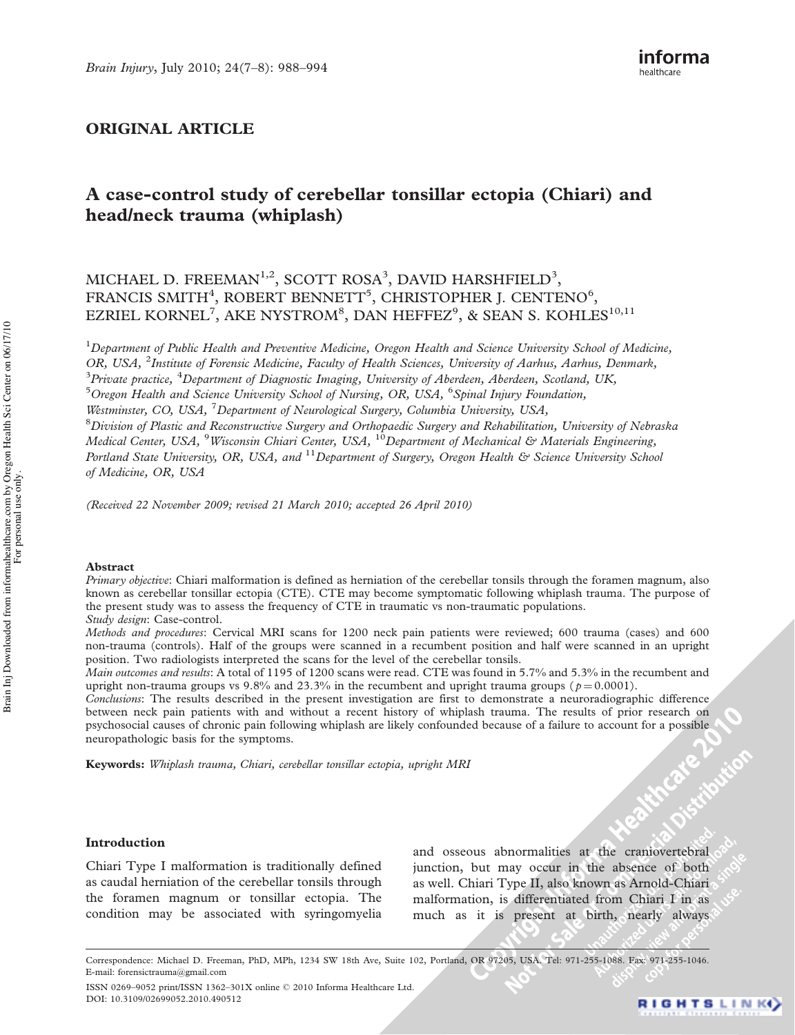## ORIGINAL ARTICLE

# A case-control study of cerebellar tonsillar ectopia (Chiari) and head/neck trauma (whiplash)

## MICHAEL D. FREEMAN<sup>1,2</sup>, SCOTT ROSA<sup>3</sup>, DAVID HARSHFIELD<sup>3</sup>, FRANCIS SMITH<sup>4</sup>, ROBERT BENNETT<sup>5</sup>, CHRISTOPHER J. CENTENO<sup>6</sup>, EZRIEL KORNEL<sup>7</sup>, AKE NYSTROM<sup>8</sup>, DAN HEFFEZ<sup>9</sup>, & SEAN S. KOHLES<sup>10,11</sup>

<sup>1</sup>Department of Public Health and Preventive Medicine, Oregon Health and Science University School of Medicine, OR, USA, <sup>2</sup>Institute of Forensic Medicine, Faculty of Health Sciences, University of Aarhus, Aarhus, Denmark,  $^3$ Private practice,  $^4$ Department of Diagnostic Imaging, University of Aberdeen, Aberdeen, Scotland, UK, <sup>5</sup>Oregon Health and Science University School of Nursing, OR, USA, <sup>6</sup>Spinal Injury Foundation,

Westminster, CO, USA, <sup>7</sup>Department of Neurological Surgery, Columbia University, USA,

 ${}^{8}$ Division of Plastic and Reconstructive Surgery and Orthopaedic Surgery and Rehabilitation, University of Nebraska Medical Center, USA,  $^{9}$ Wisconsin Chiari Center, USA,  $^{10}$ Department of Mechanical & Materials Engineering, Portland State University, OR, USA, and <sup>11</sup> Department of Surgery, Oregon Health & Science University School of Medicine, OR, USA

(Received 22 November 2009; revised 21 March 2010; accepted 26 April 2010)

#### Abstract

Primary objective: Chiari malformation is defined as herniation of the cerebellar tonsils through the foramen magnum, also known as cerebellar tonsillar ectopia (CTE). CTE may become symptomatic following whiplash trauma. The purpose of the present study was to assess the frequency of CTE in traumatic vs non-traumatic populations. Study design: Case-control.

Methods and procedures: Cervical MRI scans for 1200 neck pain patients were reviewed; 600 trauma (cases) and 600 non-trauma (controls). Half of the groups were scanned in a recumbent position and half were scanned in an upright position. Two radiologists interpreted the scans for the level of the cerebellar tonsils.

Main outcomes and results: A total of 1195 of 1200 scans were read. CTE was found in 5.7% and 5.3% in the recumbent and upright non-trauma groups vs 9.8% and 23.3% in the recumbent and upright trauma groups ( $p = 0.0001$ ).

Conclusions: The results described in the present investigation are first to demonstrate a neuroradiographic difference between neck pain patients with and without a recent history of whiplash trauma. The results of prior research on psychosocial causes of chronic pain following whiplash are likely confounded because of a failure to account for a possible neuropathologic basis for the symptoms.

Keywords: Whiplash trauma, Chiari, cerebellar tonsillar ectopia, upright MRI

### Introduction

Chiari Type I malformation is traditionally defined as caudal herniation of the cerebellar tonsils through the foramen magnum or tonsillar ectopia. The condition may be associated with syringomyelia

and osseous abnormalities at the craniovertebral junction, but may occur in the absence of both as well. Chiari Type II, also known as Arnold-Chiari malformation, is differentiated from Chiari I in as much as it is present at birth, nearly always

ISSN 0269-9052 print/ISSN 1362-301X online © 2010 Informa Healthcare Ltd. DOI: 10.3109/02699052.2010.490512

Correspondence: Michael D. Freeman, PhD, MPh, 1234 SW 18th Ave, Suite 102, Portland, OR 97205, USA. Tel: 971-255-1088. Fax: 971-255-1046. E-mail: forensictrauma@gmail.com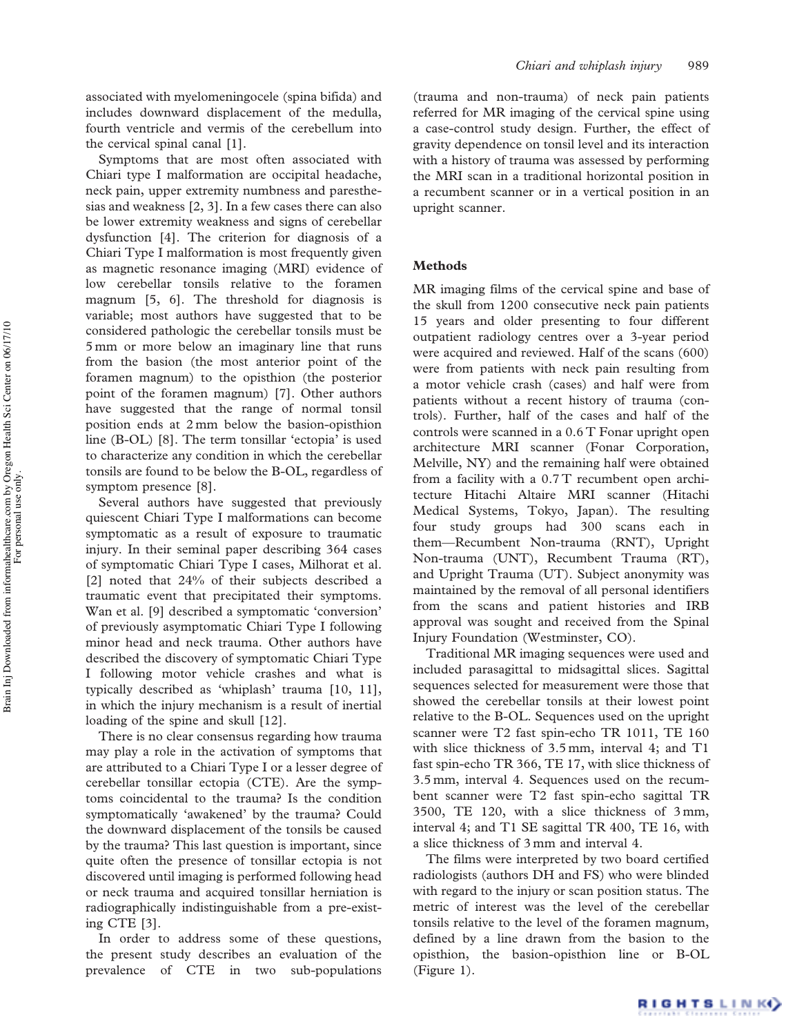associated with myelomeningocele (spina bifida) and includes downward displacement of the medulla, fourth ventricle and vermis of the cerebellum into the cervical spinal canal [1].

Symptoms that are most often associated with Chiari type I malformation are occipital headache, neck pain, upper extremity numbness and paresthesias and weakness [2, 3]. In a few cases there can also be lower extremity weakness and signs of cerebellar dysfunction [4]. The criterion for diagnosis of a Chiari Type I malformation is most frequently given as magnetic resonance imaging (MRI) evidence of low cerebellar tonsils relative to the foramen magnum [5, 6]. The threshold for diagnosis is variable; most authors have suggested that to be considered pathologic the cerebellar tonsils must be 5 mm or more below an imaginary line that runs from the basion (the most anterior point of the foramen magnum) to the opisthion (the posterior point of the foramen magnum) [7]. Other authors have suggested that the range of normal tonsil position ends at 2 mm below the basion-opisthion line (B-OL) [8]. The term tonsillar 'ectopia' is used to characterize any condition in which the cerebellar tonsils are found to be below the B-OL, regardless of symptom presence [8].

Several authors have suggested that previously quiescent Chiari Type I malformations can become symptomatic as a result of exposure to traumatic injury. In their seminal paper describing 364 cases of symptomatic Chiari Type I cases, Milhorat et al. [2] noted that 24% of their subjects described a traumatic event that precipitated their symptoms. Wan et al. [9] described a symptomatic 'conversion' of previously asymptomatic Chiari Type I following minor head and neck trauma. Other authors have described the discovery of symptomatic Chiari Type I following motor vehicle crashes and what is typically described as 'whiplash' trauma [10, 11], in which the injury mechanism is a result of inertial loading of the spine and skull [12].

There is no clear consensus regarding how trauma may play a role in the activation of symptoms that are attributed to a Chiari Type I or a lesser degree of cerebellar tonsillar ectopia (CTE). Are the symptoms coincidental to the trauma? Is the condition symptomatically 'awakened' by the trauma? Could the downward displacement of the tonsils be caused by the trauma? This last question is important, since quite often the presence of tonsillar ectopia is not discovered until imaging is performed following head or neck trauma and acquired tonsillar herniation is radiographically indistinguishable from a pre-existing CTE [3].

In order to address some of these questions, the present study describes an evaluation of the prevalence of CTE in two sub-populations

(trauma and non-trauma) of neck pain patients referred for MR imaging of the cervical spine using a case-control study design. Further, the effect of gravity dependence on tonsil level and its interaction with a history of trauma was assessed by performing the MRI scan in a traditional horizontal position in a recumbent scanner or in a vertical position in an upright scanner.

## Methods

MR imaging films of the cervical spine and base of the skull from 1200 consecutive neck pain patients 15 years and older presenting to four different outpatient radiology centres over a 3-year period were acquired and reviewed. Half of the scans (600) were from patients with neck pain resulting from a motor vehicle crash (cases) and half were from patients without a recent history of trauma (controls). Further, half of the cases and half of the controls were scanned in a 0.6 T Fonar upright open architecture MRI scanner (Fonar Corporation, Melville, NY) and the remaining half were obtained from a facility with a 0.7 T recumbent open architecture Hitachi Altaire MRI scanner (Hitachi Medical Systems, Tokyo, Japan). The resulting four study groups had 300 scans each them—Recumbent Non-trauma (RNT), Upright Non-trauma (UNT), Recumbent Trauma (RT), and Upright Trauma (UT). Subject anonymity was maintained by the removal of all personal identifiers from the scans and patient histories and IRB approval was sought and received from the Spinal Injury Foundation (Westminster, CO).

Traditional MR imaging sequences were used and included parasagittal to midsagittal slices. Sagittal sequences selected for measurement were those that showed the cerebellar tonsils at their lowest point relative to the B-OL. Sequences used on the upright scanner were T2 fast spin-echo TR 1011, TE 160 with slice thickness of 3.5 mm, interval 4; and T1 fast spin-echo TR 366, TE 17, with slice thickness of 3.5 mm, interval 4. Sequences used on the recumbent scanner were T2 fast spin-echo sagittal TR 3500, TE 120, with a slice thickness of 3 mm, interval 4; and T1 SE sagittal TR 400, TE 16, with a slice thickness of 3 mm and interval 4.

The films were interpreted by two board certified radiologists (authors DH and FS) who were blinded with regard to the injury or scan position status. The metric of interest was the level of the cerebellar tonsils relative to the level of the foramen magnum, defined by a line drawn from the basion to the opisthion, the basion-opisthion line or B-OL (Figure 1).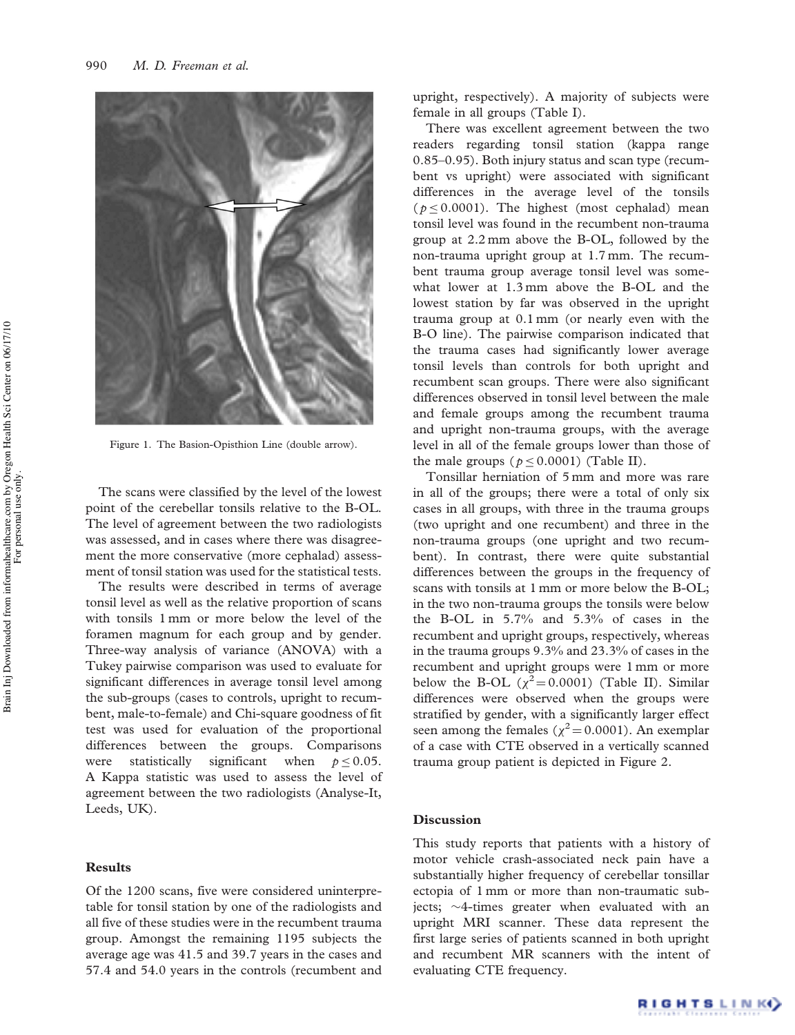

Figure 1. The Basion-Opisthion Line (double arrow).

The scans were classified by the level of the lowest point of the cerebellar tonsils relative to the B-OL. The level of agreement between the two radiologists was assessed, and in cases where there was disagreement the more conservative (more cephalad) assessment of tonsil station was used for the statistical tests.

The results were described in terms of average tonsil level as well as the relative proportion of scans with tonsils 1 mm or more below the level of the foramen magnum for each group and by gender. Three-way analysis of variance (ANOVA) with a Tukey pairwise comparison was used to evaluate for significant differences in average tonsil level among the sub-groups (cases to controls, upright to recumbent, male-to-female) and Chi-square goodness of fit test was used for evaluation of the proportional differences between the groups. Comparisons were statistically significant when  $p \le 0.05$ . A Kappa statistic was used to assess the level of agreement between the two radiologists (Analyse-It, Leeds, UK).

#### Results

Of the 1200 scans, five were considered uninterpretable for tonsil station by one of the radiologists and all five of these studies were in the recumbent trauma group. Amongst the remaining 1195 subjects the average age was 41.5 and 39.7 years in the cases and 57.4 and 54.0 years in the controls (recumbent and upright, respectively). A majority of subjects were female in all groups (Table I).

There was excellent agreement between the two readers regarding tonsil station (kappa range 0.85–0.95). Both injury status and scan type (recumbent vs upright) were associated with significant differences in the average level of the tonsils ( $p \le 0.0001$ ). The highest (most cephalad) mean tonsil level was found in the recumbent non-trauma group at 2.2 mm above the B-OL, followed by the non-trauma upright group at 1.7 mm. The recumbent trauma group average tonsil level was somewhat lower at 1.3 mm above the B-OL and the lowest station by far was observed in the upright trauma group at 0.1 mm (or nearly even with the B-O line). The pairwise comparison indicated that the trauma cases had significantly lower average tonsil levels than controls for both upright and recumbent scan groups. There were also significant differences observed in tonsil level between the male and female groups among the recumbent trauma and upright non-trauma groups, with the average level in all of the female groups lower than those of the male groups ( $p \le 0.0001$ ) (Table II).

Tonsillar herniation of 5 mm and more was rare in all of the groups; there were a total of only six cases in all groups, with three in the trauma groups (two upright and one recumbent) and three in the non-trauma groups (one upright and two recumbent). In contrast, there were quite substantial differences between the groups in the frequency of scans with tonsils at 1 mm or more below the B-OL; in the two non-trauma groups the tonsils were below the B-OL in 5.7% and 5.3% of cases in the recumbent and upright groups, respectively, whereas in the trauma groups 9.3% and 23.3% of cases in the recumbent and upright groups were 1 mm or more below the B-OL  $(\chi^2 = 0.0001)$  (Table II). Similar differences were observed when the groups were stratified by gender, with a significantly larger effect seen among the females ( $\chi^2$  = 0.0001). An exemplar of a case with CTE observed in a vertically scanned trauma group patient is depicted in Figure 2.

#### Discussion

This study reports that patients with a history of motor vehicle crash-associated neck pain have a substantially higher frequency of cerebellar tonsillar ectopia of 1 mm or more than non-traumatic subjects;  $\sim$ 4-times greater when evaluated with an upright MRI scanner. These data represent the first large series of patients scanned in both upright and recumbent MR scanners with the intent of evaluating CTE frequency.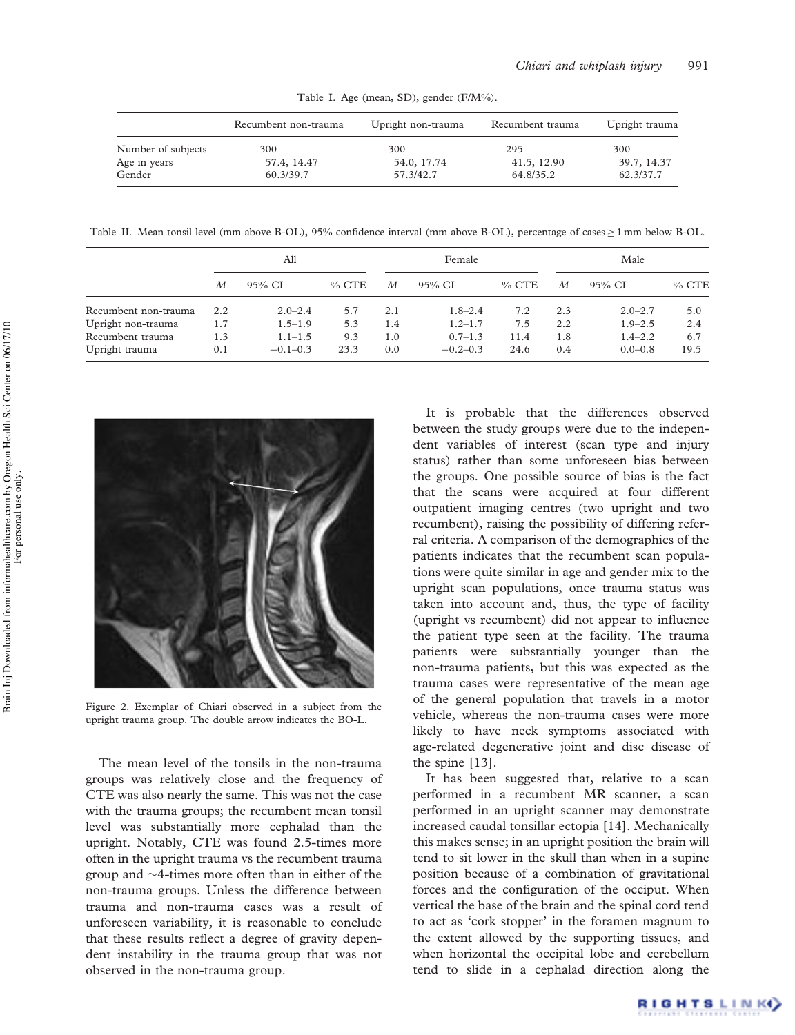|                    | Recumbent non-trauma | Upright non-trauma | Recumbent trauma | Upright trauma |  |
|--------------------|----------------------|--------------------|------------------|----------------|--|
| Number of subjects | 300                  | 300                | 295              | 300            |  |
| Age in years       | 57.4, 14.47          | 54.0, 17.74        | 41.5, 12.90      | 39.7, 14.37    |  |
| Gender             | 60.3/39.7            | 57.3/42.7          | 64.8/35.2        | 62.3/37.7      |  |

Table I. Age (mean, SD), gender (F/M%).

Table II. Mean tonsil level (mm above B-OL), 95% confidence interval (mm above B-OL), percentage of cases  $> 1 \text{ mm}$  below B-OL.

|                      | All |              |         | Female |             | Male    |     |             |         |
|----------------------|-----|--------------|---------|--------|-------------|---------|-----|-------------|---------|
|                      | М   | $95\%$ CI    | $%$ CTE | М      | $95\%$ CI   | $%$ CTE | М   | $95\%$ CI   | $%$ CTE |
| Recumbent non-trauma | 2.2 | $2.0 - 2.4$  | 5.7     | 2.1    | $1.8 - 2.4$ | 7.2     | 2.3 | $2.0 - 2.7$ | 5.0     |
| Upright non-trauma   | 1.7 | $1.5 - 1.9$  | 5.3     | 1.4    | $1.2 - 1.7$ | 7.5     | 2.2 | $1.9 - 2.5$ | 2.4     |
| Recumbent trauma     | 1.3 | $1.1 - 1.5$  | 9.3     | 1.0    | $0.7 - 1.3$ | 11.4    | 1.8 | $1.4 - 2.2$ | 6.7     |
| Upright trauma       | 0.1 | $-0.1 - 0.3$ | 23.3    | 0.0    | $-0.2-0.3$  | 24.6    | 0.4 | $0.0 - 0.8$ | 19.5    |



Figure 2. Exemplar of Chiari observed in a subject from the upright trauma group. The double arrow indicates the BO-L.

The mean level of the tonsils in the non-trauma groups was relatively close and the frequency of CTE was also nearly the same. This was not the case with the trauma groups; the recumbent mean tonsil level was substantially more cephalad than the upright. Notably, CTE was found 2.5-times more often in the upright trauma vs the recumbent trauma group and  $\sim$ 4-times more often than in either of the non-trauma groups. Unless the difference between trauma and non-trauma cases was a result of unforeseen variability, it is reasonable to conclude that these results reflect a degree of gravity dependent instability in the trauma group that was not observed in the non-trauma group.

It is probable that the differences observed between the study groups were due to the independent variables of interest (scan type and injury status) rather than some unforeseen bias between the groups. One possible source of bias is the fact that the scans were acquired at four different outpatient imaging centres (two upright and two recumbent), raising the possibility of differing referral criteria. A comparison of the demographics of the patients indicates that the recumbent scan populations were quite similar in age and gender mix to the upright scan populations, once trauma status was taken into account and, thus, the type of facility (upright vs recumbent) did not appear to influence the patient type seen at the facility. The trauma patients were substantially younger than the non-trauma patients, but this was expected as the trauma cases were representative of the mean age of the general population that travels in a motor vehicle, whereas the non-trauma cases were more likely to have neck symptoms associated with age-related degenerative joint and disc disease of the spine [13].

It has been suggested that, relative to a scan performed in a recumbent MR scanner, a scan performed in an upright scanner may demonstrate increased caudal tonsillar ectopia [14]. Mechanically this makes sense; in an upright position the brain will tend to sit lower in the skull than when in a supine position because of a combination of gravitational forces and the configuration of the occiput. When vertical the base of the brain and the spinal cord tend to act as 'cork stopper' in the foramen magnum to the extent allowed by the supporting tissues, and when horizontal the occipital lobe and cerebellum tend to slide in a cephalad direction along the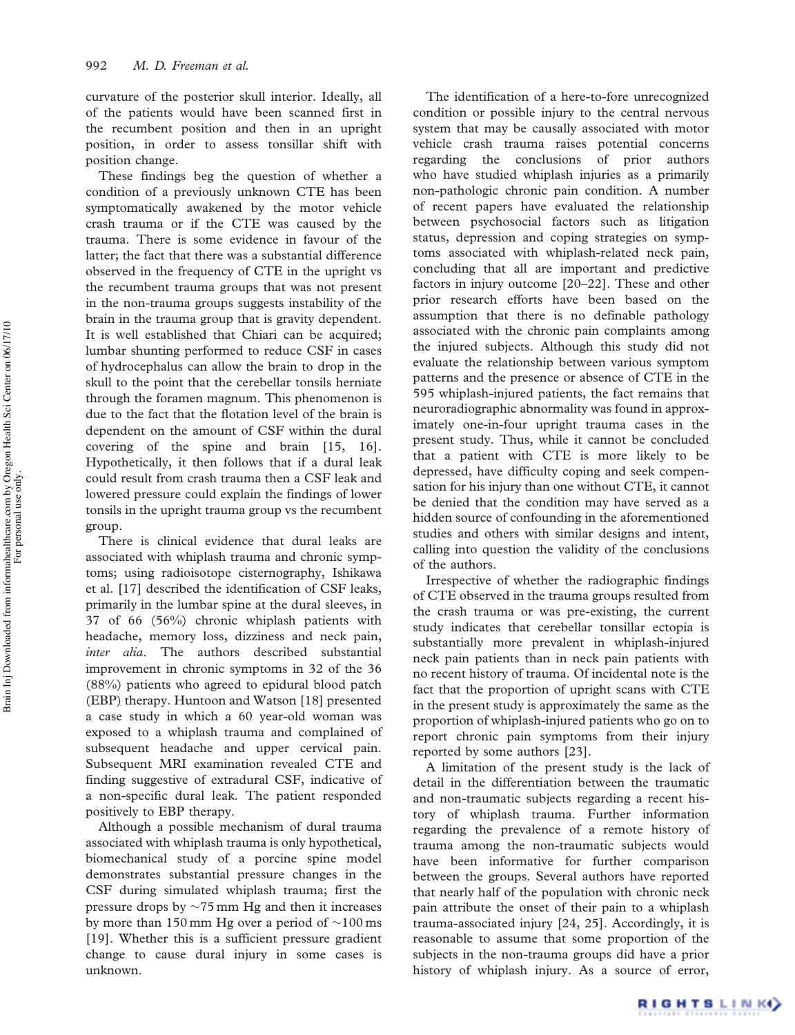curvature of the posterior skull interior. Ideally, all of the patients would have been scanned first in the recumbent position and then in an upright position, in order to assess tonsillar shift with position change.

These findings beg the question of whether a condition of a previously unknown CTE has been symptomatically awakened by the motor vehicle crash trauma or if the CTE was caused by the trauma. There is some evidence in favour of the latter; the fact that there was a substantial difference observed in the frequency of CTE in the upright vs the recumbent trauma groups that was not present in the non-trauma groups suggests instability of the brain in the trauma group that is gravity dependent. It is well established that Chiari can be acquired; lumbar shunting performed to reduce CSF in cases of hydrocephalus can allow the brain to drop in the skull to the point that the cerebellar tonsils herniate through the foramen magnum. This phenomenon is due to the fact that the flotation level of the brain is dependent on the amount of CSF within the dural covering of the spine and brain [15, 16]. Hypothetically, it then follows that if a dural leak could result from crash trauma then a CSF leak and lowered pressure could explain the findings of lower tonsils in the upright trauma group vs the recumbent group.

There is clinical evidence that dural leaks are associated with whiplash trauma and chronic symptoms; using radioisotope cisternography, Ishikawa et al. [17] described the identification of CSF leaks, primarily in the lumbar spine at the dural sleeves, in 37 of 66 (56%) chronic whiplash patients with headache, memory loss, dizziness and neck pain, inter alia. The authors described substantial improvement in chronic symptoms in 32 of the 36 (88%) patients who agreed to epidural blood patch (EBP) therapy. Huntoon and Watson [18] presented a case study in which a 60 year-old woman was exposed to a whiplash trauma and complained of subsequent headache and upper cervical pain. Subsequent MRI examination revealed CTE and finding suggestive of extradural CSF, indicative of a non-specific dural leak. The patient responded positively to EBP therapy.

Although a possible mechanism of dural trauma associated with whiplash trauma is only hypothetical, biomechanical study of a porcine spine model demonstrates substantial pressure changes in the CSF during simulated whiplash trauma; first the pressure drops by  $\sim$ 75 mm Hg and then it increases by more than 150 mm Hg over a period of  $\sim$ 100 ms [19]. Whether this is a sufficient pressure gradient change to cause dural injury in some cases is unknown.

The identification of a here-to-fore unrecognized condition or possible injury to the central nervous system that may be causally associated with motor vehicle crash trauma raises potential concerns regarding the conclusions of prior authors who have studied whiplash injuries as a primarily non-pathologic chronic pain condition. A number of recent papers have evaluated the relationship between psychosocial factors such as litigation status, depression and coping strategies on symptoms associated with whiplash-related neck pain, concluding that all are important and predictive factors in injury outcome [20–22]. These and other prior research efforts have been based on the assumption that there is no definable pathology associated with the chronic pain complaints among the injured subjects. Although this study did not evaluate the relationship between various symptom patterns and the presence or absence of CTE in the 595 whiplash-injured patients, the fact remains that neuroradiographic abnormality was found in approximately one-in-four upright trauma cases in the present study. Thus, while it cannot be concluded that a patient with CTE is more likely to be depressed, have difficulty coping and seek compensation for his injury than one without CTE, it cannot be denied that the condition may have served as a hidden source of confounding in the aforementioned studies and others with similar designs and intent, calling into question the validity of the conclusions of the authors.

Irrespective of whether the radiographic findings of CTE observed in the trauma groups resulted from the crash trauma or was pre-existing, the current study indicates that cerebellar tonsillar ectopia is substantially more prevalent in whiplash-injured neck pain patients than in neck pain patients with no recent history of trauma. Of incidental note is the fact that the proportion of upright scans with CTE in the present study is approximately the same as the proportion of whiplash-injured patients who go on to report chronic pain symptoms from their injury reported by some authors [23].

A limitation of the present study is the lack of detail in the differentiation between the traumatic and non-traumatic subjects regarding a recent history of whiplash trauma. Further information regarding the prevalence of a remote history of trauma among the non-traumatic subjects would have been informative for further comparison between the groups. Several authors have reported that nearly half of the population with chronic neck pain attribute the onset of their pain to a whiplash trauma-associated injury [24, 25]. Accordingly, it is reasonable to assume that some proportion of the subjects in the non-trauma groups did have a prior history of whiplash injury. As a source of error,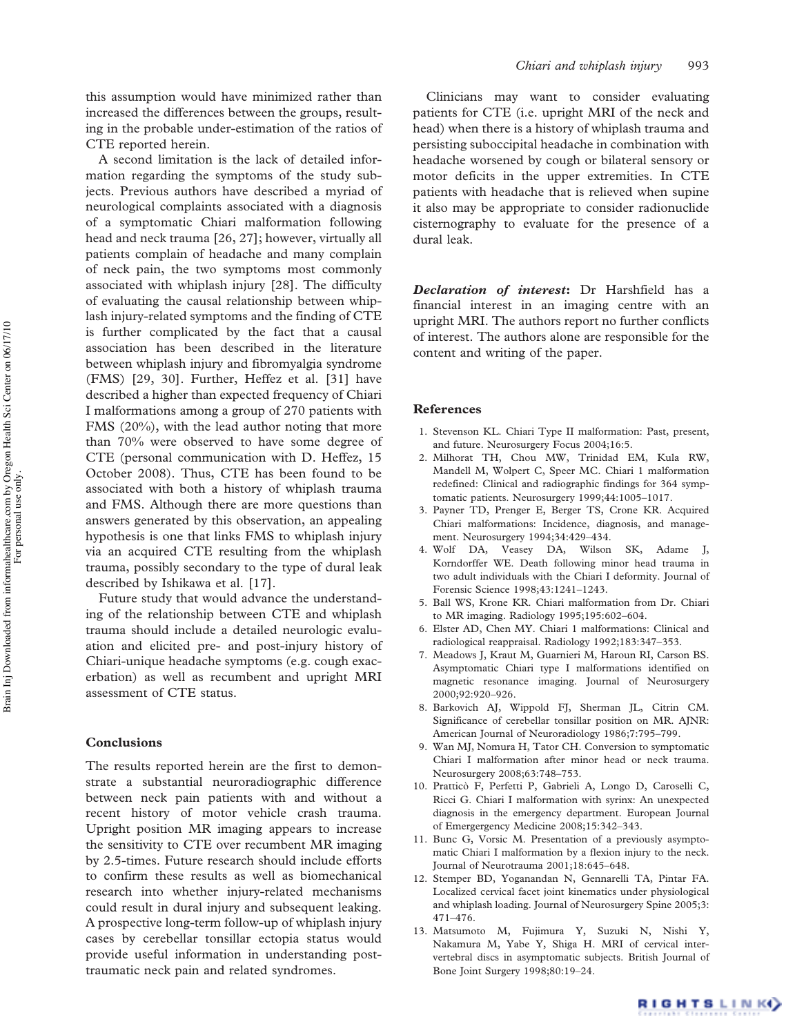this assumption would have minimized rather than increased the differences between the groups, resulting in the probable under-estimation of the ratios of CTE reported herein.

A second limitation is the lack of detailed information regarding the symptoms of the study subjects. Previous authors have described a myriad of neurological complaints associated with a diagnosis of a symptomatic Chiari malformation following head and neck trauma [26, 27]; however, virtually all patients complain of headache and many complain of neck pain, the two symptoms most commonly associated with whiplash injury [28]. The difficulty of evaluating the causal relationship between whiplash injury-related symptoms and the finding of CTE is further complicated by the fact that a causal association has been described in the literature between whiplash injury and fibromyalgia syndrome (FMS) [29, 30]. Further, Heffez et al. [31] have described a higher than expected frequency of Chiari I malformations among a group of 270 patients with FMS (20%), with the lead author noting that more than 70% were observed to have some degree of CTE (personal communication with D. Heffez, 15 October 2008). Thus, CTE has been found to be associated with both a history of whiplash trauma and FMS. Although there are more questions than answers generated by this observation, an appealing hypothesis is one that links FMS to whiplash injury via an acquired CTE resulting from the whiplash trauma, possibly secondary to the type of dural leak described by Ishikawa et al. [17].

Future study that would advance the understanding of the relationship between CTE and whiplash trauma should include a detailed neurologic evaluation and elicited pre- and post-injury history of Chiari-unique headache symptoms (e.g. cough exacerbation) as well as recumbent and upright MRI assessment of CTE status.

### Conclusions

The results reported herein are the first to demonstrate a substantial neuroradiographic difference between neck pain patients with and without a recent history of motor vehicle crash trauma. Upright position MR imaging appears to increase the sensitivity to CTE over recumbent MR imaging by 2.5-times. Future research should include efforts to confirm these results as well as biomechanical research into whether injury-related mechanisms could result in dural injury and subsequent leaking. A prospective long-term follow-up of whiplash injury cases by cerebellar tonsillar ectopia status would provide useful information in understanding posttraumatic neck pain and related syndromes.

Clinicians may want to consider evaluating patients for CTE (i.e. upright MRI of the neck and head) when there is a history of whiplash trauma and persisting suboccipital headache in combination with headache worsened by cough or bilateral sensory or motor deficits in the upper extremities. In CTE patients with headache that is relieved when supine it also may be appropriate to consider radionuclide cisternography to evaluate for the presence of a dural leak.

**Declaration of interest:** Dr Harshfield has a financial interest in an imaging centre with an upright MRI. The authors report no further conflicts of interest. The authors alone are responsible for the content and writing of the paper.

#### References

- 1. Stevenson KL. Chiari Type II malformation: Past, present, and future. Neurosurgery Focus 2004;16:5.
- 2. Milhorat TH, Chou MW, Trinidad EM, Kula RW, Mandell M, Wolpert C, Speer MC. Chiari 1 malformation redefined: Clinical and radiographic findings for 364 symptomatic patients. Neurosurgery 1999;44:1005–1017.
- 3. Payner TD, Prenger E, Berger TS, Crone KR. Acquired Chiari malformations: Incidence, diagnosis, and management. Neurosurgery 1994;34:429–434.
- 4. Wolf DA, Veasey DA, Wilson SK, Adame J, Korndorffer WE. Death following minor head trauma in two adult individuals with the Chiari I deformity. Journal of Forensic Science 1998;43:1241–1243.
- 5. Ball WS, Krone KR. Chiari malformation from Dr. Chiari to MR imaging. Radiology 1995;195:602–604.
- 6. Elster AD, Chen MY. Chiari 1 malformations: Clinical and radiological reappraisal. Radiology 1992;183:347–353.
- 7. Meadows J, Kraut M, Guarnieri M, Haroun RI, Carson BS. Asymptomatic Chiari type I malformations identified on magnetic resonance imaging. Journal of Neurosurgery 2000;92:920–926.
- 8. Barkovich AJ, Wippold FJ, Sherman JL, Citrin CM. Significance of cerebellar tonsillar position on MR. AJNR: American Journal of Neuroradiology 1986;7:795–799.
- 9. Wan MJ, Nomura H, Tator CH. Conversion to symptomatic Chiari I malformation after minor head or neck trauma. Neurosurgery 2008;63:748–753.
- 10. Prattico` F, Perfetti P, Gabrieli A, Longo D, Caroselli C, Ricci G. Chiari I malformation with syrinx: An unexpected diagnosis in the emergency department. European Journal of Emergergency Medicine 2008;15:342–343.
- 11. Bunc G, Vorsic M. Presentation of a previously asymptomatic Chiari I malformation by a flexion injury to the neck. Journal of Neurotrauma 2001;18:645–648.
- 12. Stemper BD, Yoganandan N, Gennarelli TA, Pintar FA. Localized cervical facet joint kinematics under physiological and whiplash loading. Journal of Neurosurgery Spine 2005;3: 471–476.
- 13. Matsumoto M, Fujimura Y, Suzuki N, Nishi Y, Nakamura M, Yabe Y, Shiga H. MRI of cervical intervertebral discs in asymptomatic subjects. British Journal of Bone Joint Surgery 1998;80:19–24.